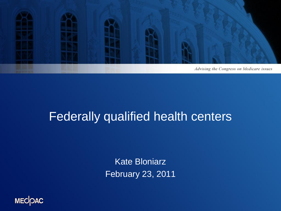

#### Federally qualified health centers

Kate Bloniarz February 23, 2011

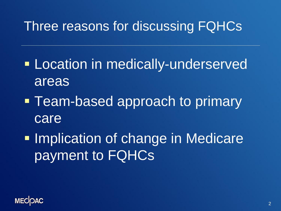### Three reasons for discussing FQHCs

- **Location in medically-underserved** areas
- **Team-based approach to primary** care
- **Implication of change in Medicare** payment to FQHCs

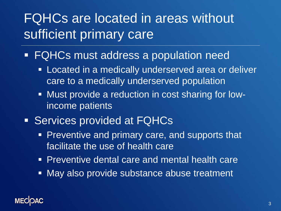## FQHCs are located in areas without sufficient primary care

- FQHCs must address a population need
	- **Located in a medically underserved area or deliver** care to a medically underserved population
	- Must provide a reduction in cost sharing for lowincome patients
- **Services provided at FQHCs** 
	- **Preventive and primary care, and supports that** facilitate the use of health care
	- Preventive dental care and mental health care
	- **May also provide substance abuse treatment**

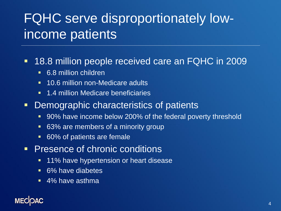## FQHC serve disproportionately lowincome patients

#### 18.8 million people received care an FQHC in 2009

- **6.8 million children**
- **10.6 million non-Medicare adults**
- **1.4 million Medicare beneficiaries**
- **-** Demographic characteristics of patients
	- 90% have income below 200% of the federal poverty threshold
	- 63% are members of a minority group
	- 60% of patients are female
- **Presence of chronic conditions** 
	- **11% have hypertension or heart disease**
	- **6%** have diabetes
	- 4% have asthma

#### **MEC**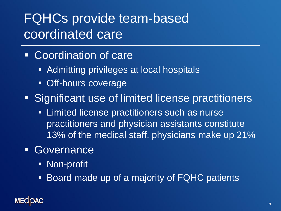## FQHCs provide team-based coordinated care

- Coordination of care
	- Admitting privileges at local hospitals
	- **Off-hours coverage**
- **Significant use of limited license practitioners** 
	- **EXTERNIFIONER IN Limited license practitioners such as nurse** practitioners and physician assistants constitute 13% of the medical staff, physicians make up 21%
- **Governance** 
	- **Non-profit**
	- Board made up of a majority of FQHC patients

#### **MECK**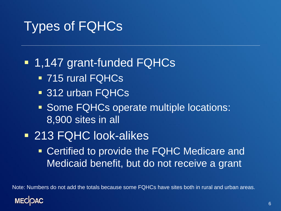### Types of FQHCs

#### ■ 1,147 grant-funded FQHCs

- 715 rural FQHCs
- **312 urban FQHCs**
- **Some FQHCs operate multiple locations:** 8,900 sites in all
- 213 FQHC look-alikes
	- **Certified to provide the FQHC Medicare and** Medicaid benefit, but do not receive a grant

Note: Numbers do not add the totals because some FQHCs have sites both in rural and urban areas.

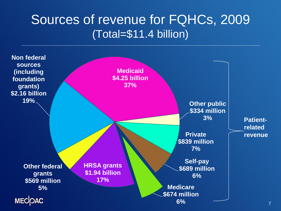#### Sources of revenue for FQHCs, 2009 (Total=\$11.4 billion)

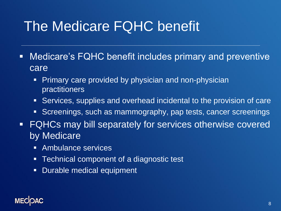# The Medicare FQHC benefit

- Medicare's FQHC benefit includes primary and preventive care
	- Primary care provided by physician and non-physician practitioners
	- Services, supplies and overhead incidental to the provision of care
	- Screenings, such as mammography, pap tests, cancer screenings
- FQHCs may bill separately for services otherwise covered by Medicare
	- Ambulance services
	- **Fig.** Technical component of a diagnostic test
	- **Durable medical equipment**

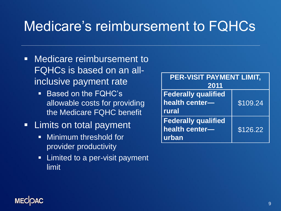# Medicare's reimbursement to FQHCs

- **Medicare reimbursement to** FQHCs is based on an allinclusive payment rate
	- **Based on the FQHC's** allowable costs for providing the Medicare FQHC benefit
- **EXALLEM** Limits on total payment
	- **Ninimum threshold for** provider productivity
	- **E** Limited to a per-visit payment limit

| <b>PER-VISIT PAYMENT LIMIT,</b>                       |          |
|-------------------------------------------------------|----------|
| 2011                                                  |          |
| <b>Federally qualified</b><br>health center-<br>rural | \$109.24 |
| <b>Federally qualified</b><br>health center-<br>urban | \$126.22 |

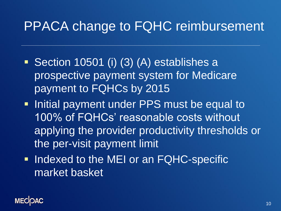### PPACA change to FQHC reimbursement

- Section 10501 (i) (3) (A) establishes a prospective payment system for Medicare payment to FQHCs by 2015
- **Initial payment under PPS must be equal to** 100% of FQHCs' reasonable costs without. applying the provider productivity thresholds or the per-visit payment limit
- **Indexed to the MEI or an FQHC-specific** market basket